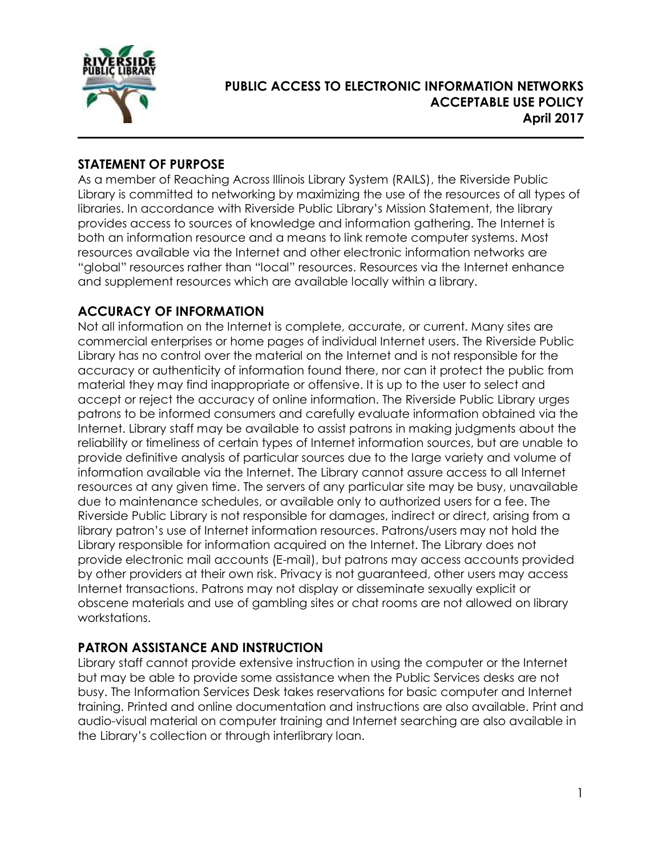

# **PUBLIC ACCESS TO ELECTRONIC INFORMATION NETWORKS ACCEPTABLE USE POLICY April 2017**

### **STATEMENT OF PURPOSE**

As a member of Reaching Across Illinois Library System (RAILS), the Riverside Public Library is committed to networking by maximizing the use of the resources of all types of libraries. In accordance with Riverside Public Library's Mission Statement, the library provides access to sources of knowledge and information gathering. The Internet is both an information resource and a means to link remote computer systems. Most resources available via the Internet and other electronic information networks are "global" resources rather than "local" resources. Resources via the Internet enhance and supplement resources which are available locally within a library.

# **ACCURACY OF INFORMATION**

Not all information on the Internet is complete, accurate, or current. Many sites are commercial enterprises or home pages of individual Internet users. The Riverside Public Library has no control over the material on the Internet and is not responsible for the accuracy or authenticity of information found there, nor can it protect the public from material they may find inappropriate or offensive. It is up to the user to select and accept or reject the accuracy of online information. The Riverside Public Library urges patrons to be informed consumers and carefully evaluate information obtained via the Internet. Library staff may be available to assist patrons in making judgments about the reliability or timeliness of certain types of Internet information sources, but are unable to provide definitive analysis of particular sources due to the large variety and volume of information available via the Internet. The Library cannot assure access to all Internet resources at any given time. The servers of any particular site may be busy, unavailable due to maintenance schedules, or available only to authorized users for a fee. The Riverside Public Library is not responsible for damages, indirect or direct, arising from a library patron's use of Internet information resources. Patrons/users may not hold the Library responsible for information acquired on the Internet. The Library does not provide electronic mail accounts (E-mail), but patrons may access accounts provided by other providers at their own risk. Privacy is not guaranteed, other users may access Internet transactions. Patrons may not display or disseminate sexually explicit or obscene materials and use of gambling sites or chat rooms are not allowed on library workstations.

# **PATRON ASSISTANCE AND INSTRUCTION**

Library staff cannot provide extensive instruction in using the computer or the Internet but may be able to provide some assistance when the Public Services desks are not busy. The Information Services Desk takes reservations for basic computer and Internet training. Printed and online documentation and instructions are also available. Print and audio-visual material on computer training and Internet searching are also available in the Library's collection or through interlibrary loan.